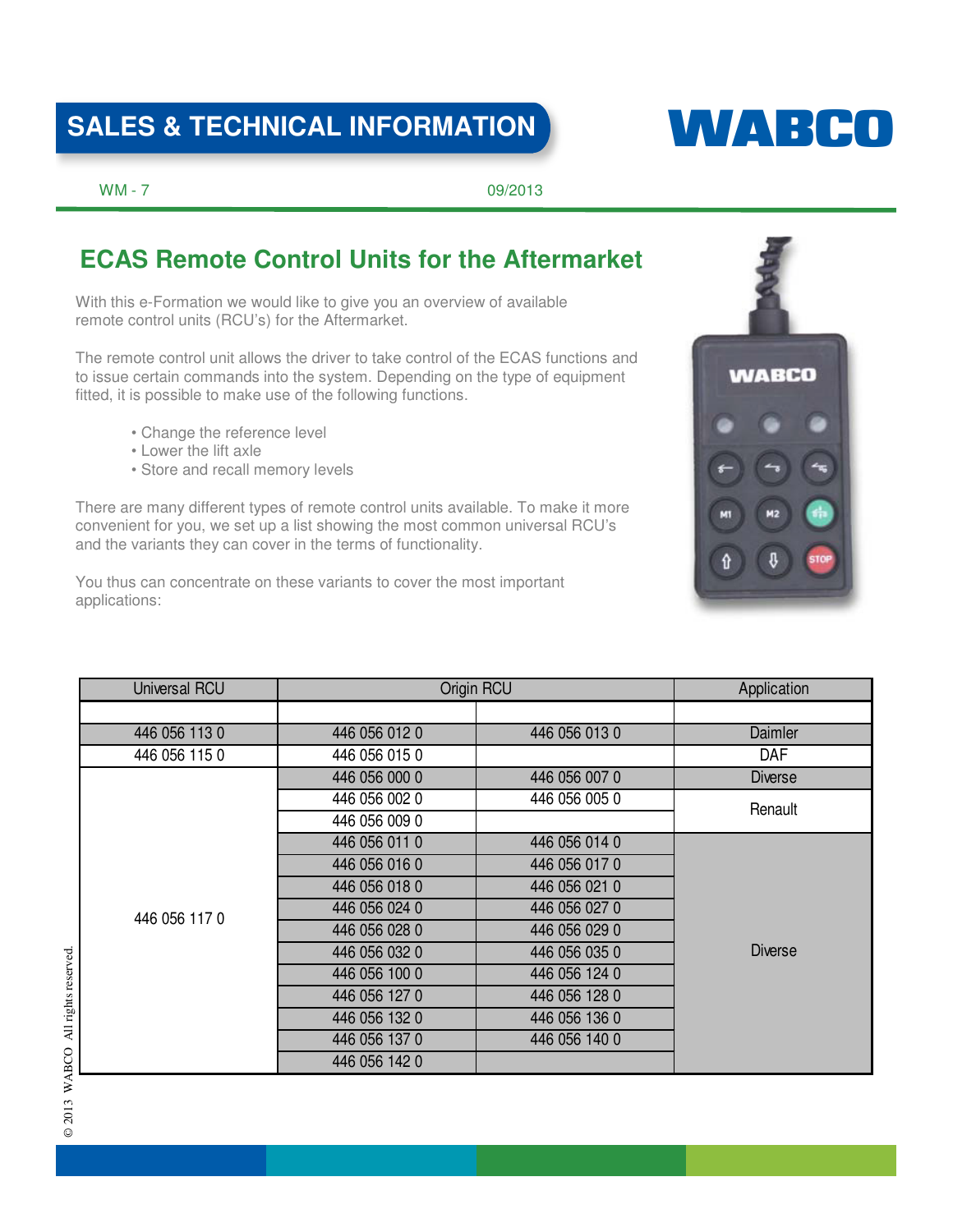## SALES & TECHNICAL INFORMATION **WALKER**

WM - 7 09/2013

### **ECAS Remote Control Units for the Aftermarket**

With this e-Formation we would like to give you an overview of available remote control units (RCU's) for the Aftermarket.

The remote control unit allows the driver to take control of the ECAS functions and to issue certain commands into the system. Depending on the type of equipment fitted, it is possible to make use of the following functions.

- Change the reference level
- Lower the lift axle
- Store and recall memory levels

There are many different types of remote control units available. To make it more convenient for you, we set up a list showing the most common universal RCU's and the variants they can cover in the terms of functionality.

You thus can concentrate on these variants to cover the most important applications:

|   | <b>WABCO</b> |             |
|---|--------------|-------------|
|   |              |             |
|   |              |             |
| M | M2           | sh          |
| ĥ | Ņ            | <b>STOP</b> |

| <b>Universal RCU</b> | Origin RCU    |               | Application    |
|----------------------|---------------|---------------|----------------|
|                      |               |               |                |
| 446 056 113 0        | 446 056 012 0 | 446 056 013 0 | Daimler        |
| 446 056 115 0        | 446 056 015 0 |               | DAF            |
|                      | 446 056 000 0 | 446 056 007 0 | <b>Diverse</b> |
|                      | 446 056 002 0 | 446 056 005 0 | Renault        |
|                      | 446 056 009 0 |               |                |
| 446 056 117 0        | 446 056 011 0 | 446 056 014 0 | <b>Diverse</b> |
|                      | 446 056 016 0 | 446 056 017 0 |                |
|                      | 446 056 018 0 | 446 056 021 0 |                |
|                      | 446 056 024 0 | 446 056 027 0 |                |
|                      | 446 056 028 0 | 446 056 029 0 |                |
|                      | 446 056 032 0 | 446 056 035 0 |                |
|                      | 446 056 100 0 | 446 056 124 0 |                |
|                      | 446 056 127 0 | 446 056 128 0 |                |
|                      | 446 056 132 0 | 446 056 136 0 |                |
|                      | 446 056 137 0 | 446 056 140 0 |                |
|                      | 446 056 142 0 |               |                |